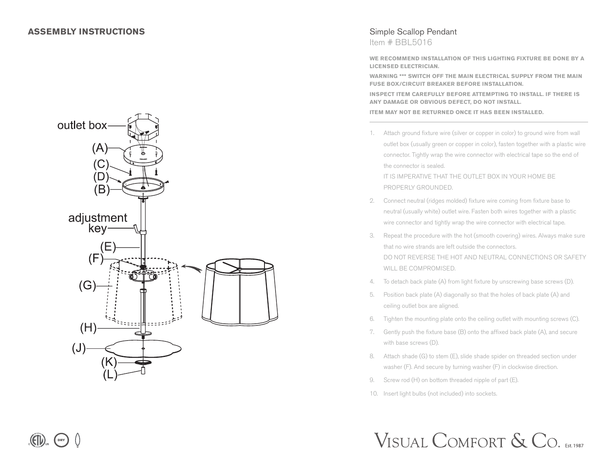DRY



## Simple Scallop Pendant Item # BBL5016

**WE RECOMMEND INSTALLATION OF THIS LIGHTING FIXTURE BE DONE BY A LICENSED ELECTRICIAN.**

**WARNING \*\*\* SWITCH OFF THE MAIN ELECTRICAL SUPPLY FROM THE MAIN FUSE BOX/CIRCUIT BREAKER BEFORE INSTALLATION.**

**INSPECT ITEM CAREFULLY BEFORE ATTEMPTING TO INSTALL. IF THERE IS ANY DAMAGE OR OBVIOUS DEFECT, DO NOT INSTALL.**

**ITEM MAY NOT BE RETURNED ONCE IT HAS BEEN INSTALLED.**

1. Attach ground fixture wire (silver or copper in color) to ground wire from wall outlet box (usually green or copper in color), fasten together with a plastic wire connector. Tightly wrap the wire connector with electrical tape so the end of the connector is sealed.

IT IS IMPERATIVE THAT THE OUTLET BOX IN YOUR HOME BE PROPERLY GROUNDED.

- 2. Connect neutral (ridges molded) fixture wire coming from fixture base to neutral (usually white) outlet wire. Fasten both wires together with a plastic wire connector and tightly wrap the wire connector with electrical tape.
- 3. Repeat the procedure with the hot (smooth covering) wires. Always make sure that no wire strands are left outside the connectors. DO NOT REVERSE THE HOT AND NEUTRAL CONNECTIONS OR SAFETY WILL BE COMPROMISED.
- 4. To detach back plate (A) from light fixture by unscrewing base screws (D).
- 5. Position back plate (A) diagonally so that the holes of back plate (A) and ceiling outlet box are aligned.
- 6. Tighten the mounting plate onto the ceiling outlet with mounting screws (C).
- 7. Gently push the fixture base (B) onto the affixed back plate (A), and secure with base screws (D).
- 8. Attach shade (G) to stem (E), slide shade spider on threaded section under washer (F). And secure by turning washer (F) in clockwise direction.
- 9. Screw rod (H) on bottom threaded nipple of part (E).
- 10. Insert light bulbs (not included) into sockets.

## VISUAL COMFORT & CO. EST.1987